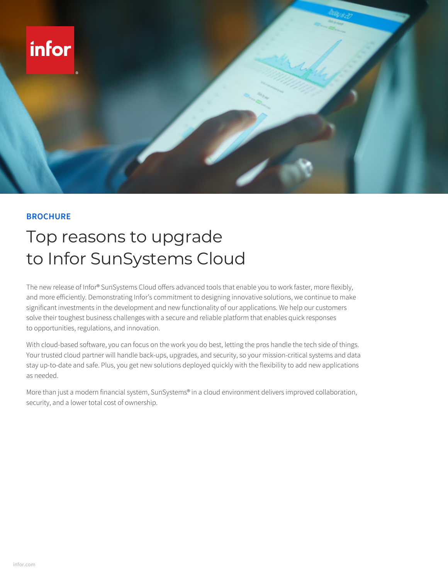

## **BROCHURE**

## Top reasons to upgrade to Infor SunSystems Cloud

The new release of Infor® SunSystems Cloud offers advanced tools that enable you to work faster, more flexibly, and more efficiently. Demonstrating Infor's commitment to designing innovative solutions, we continue to make significant investments in the development and new functionality of our applications. We help our customers solve their toughest business challenges with a secure and reliable platform that enables quick responses to opportunities, regulations, and innovation.

With cloud-based software, you can focus on the work you do best, letting the pros handle the tech side of things. Your trusted cloud partner will handle back-ups, upgrades, and security, so your mission-critical systems and data stay up-to-date and safe. Plus, you get new solutions deployed quickly with the flexibility to add new applications as needed.

More than just a modern financial system, SunSystems® in a cloud environment delivers improved collaboration, security, and a lower total cost of ownership.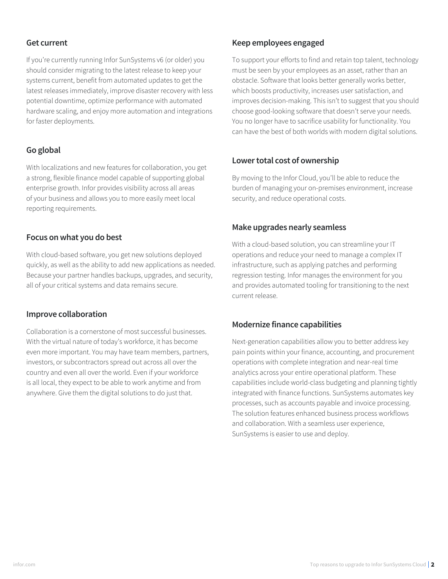### **Get current**

If you're currently running Infor SunSystems v6 (or older) you should consider migrating to the latest release to keep your systems current, benefit from automated updates to get the latest releases immediately, improve disaster recovery with less potential downtime, optimize performance with automated hardware scaling, and enjoy more automation and integrations for faster deployments.

### **Go global**

With localizations and new features for collaboration, you get a strong, flexible finance model capable of supporting global enterprise growth. Infor provides visibility across all areas of your business and allows you to more easily meet local reporting requirements.

#### **Focus on what you do best**

With cloud-based software, you get new solutions deployed quickly, as well as the ability to add new applications as needed. Because your partner handles backups, upgrades, and security, all of your critical systems and data remains secure.

#### **Improve collaboration**

Collaboration is a cornerstone of most successful businesses. With the virtual nature of today's workforce, it has become even more important. You may have team members, partners, investors, or subcontractors spread out across all over the country and even all over the world. Even if your workforce is all local, they expect to be able to work anytime and from anywhere. Give them the digital solutions to do just that.

#### **Keep employees engaged**

To support your efforts to find and retain top talent, technology must be seen by your employees as an asset, rather than an obstacle. Software that looks better generally works better, which boosts productivity, increases user satisfaction, and improves decision-making. This isn't to suggest that you should choose good-looking software that doesn't serve your needs. You no longer have to sacrifice usability for functionality. You can have the best of both worlds with modern digital solutions.

#### **Lower total cost of ownership**

By moving to the Infor Cloud, you'll be able to reduce the burden of managing your on-premises environment, increase security, and reduce operational costs.

#### **Make upgrades nearly seamless**

With a cloud-based solution, you can streamline your IT operations and reduce your need to manage a complex IT infrastructure, such as applying patches and performing regression testing. Infor manages the environment for you and provides automated tooling for transitioning to the next current release.

### **Modernize finance capabilities**

Next-generation capabilities allow you to better address key pain points within your finance, accounting, and procurement operations with complete integration and near-real time analytics across your entire operational platform. These capabilities include world-class budgeting and planning tightly integrated with finance functions. SunSystems automates key processes, such as accounts payable and invoice processing. The solution features enhanced business process workflows and collaboration. With a seamless user experience, SunSystems is easier to use and deploy.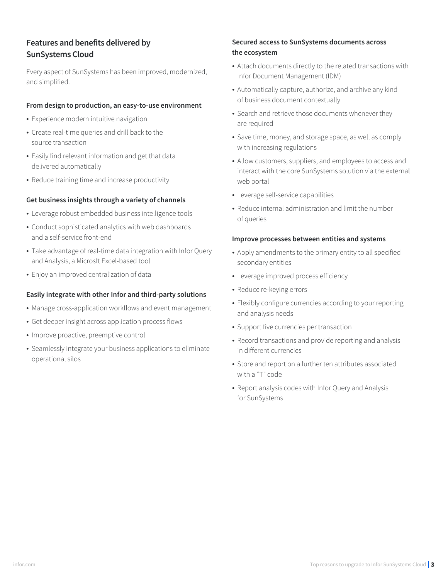## **Features and benefits delivered by SunSystems Cloud**

Every aspect of SunSystems has been improved, modernized, and simplified.

#### **From design to production, an easy-to-use environment**

- Experience modern intuitive navigation
- Create real-time queries and drill back to the source transaction
- Easily find relevant information and get that data delivered automatically
- Reduce training time and increase productivity

#### **Get business insights through a variety of channels**

- Leverage robust embedded business intelligence tools
- Conduct sophisticated analytics with web dashboards and a self-service front-end
- Take advantage of real-time data integration with Infor Query and Analysis, a Microsft Excel-based tool
- Enjoy an improved centralization of data

#### **Easily integrate with other Infor and third-party solutions**

- Manage cross-application workflows and event management
- Get deeper insight across application process flows
- Improve proactive, preemptive control
- Seamlessly integrate your business applications to eliminate operational silos

### **Secured access to SunSystems documents across the ecosystem**

- Attach documents directly to the related transactions with Infor Document Management (IDM)
- Automatically capture, authorize, and archive any kind of business document contextually
- Search and retrieve those documents whenever they are required
- Save time, money, and storage space, as well as comply with increasing regulations
- Allow customers, suppliers, and employees to access and interact with the core SunSystems solution via the external web portal
- Leverage self-service capabilities
- Reduce internal administration and limit the number of queries

#### **Improve processes between entities and systems**

- Apply amendments to the primary entity to all specified secondary entities
- Leverage improved process efficiency
- Reduce re-keying errors
- Flexibly configure currencies according to your reporting and analysis needs
- Support five currencies per transaction
- Record transactions and provide reporting and analysis in different currencies
- Store and report on a further ten attributes associated with a "T" code
- Report analysis codes with Infor Query and Analysis for SunSystems